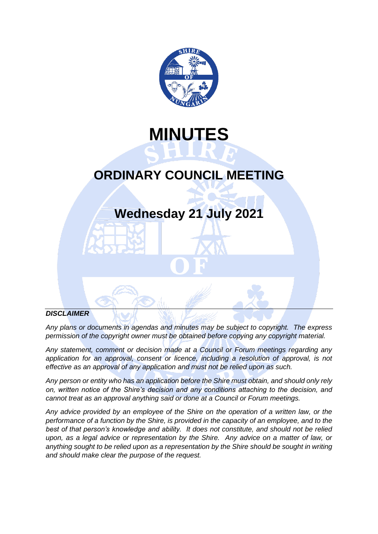

# **MINUTES**

## **ORDINARY COUNCIL MEETING**

## **Wednesday 21 July 2021**

#### *DISCLAIMER*

*Any plans or documents in agendas and minutes may be subject to copyright. The express permission of the copyright owner must be obtained before copying any copyright material.*

*Any statement, comment or decision made at a Council or Forum meetings regarding any application for an approval, consent or licence, including a resolution of approval, is not effective as an approval of any application and must not be relied upon as such.*

*Any person or entity who has an application before the Shire must obtain, and should only rely on, written notice of the Shire's decision and any conditions attaching to the decision, and cannot treat as an approval anything said or done at a Council or Forum meetings.*

*Any advice provided by an employee of the Shire on the operation of a written law, or the performance of a function by the Shire, is provided in the capacity of an employee, and to the best of that person's knowledge and ability. It does not constitute, and should not be relied upon, as a legal advice or representation by the Shire. Any advice on a matter of law, or anything sought to be relied upon as a representation by the Shire should be sought in writing and should make clear the purpose of the request.*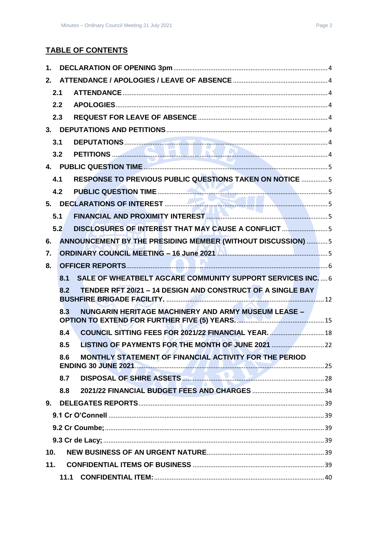## **TABLE OF CONTENTS**

| 1.             |     |                                                                   |  |
|----------------|-----|-------------------------------------------------------------------|--|
| 2.             |     |                                                                   |  |
|                | 2.1 |                                                                   |  |
|                | 2.2 |                                                                   |  |
|                | 2.3 |                                                                   |  |
|                |     |                                                                   |  |
|                | 3.1 |                                                                   |  |
|                | 3.2 |                                                                   |  |
|                |     |                                                                   |  |
|                | 4.1 | <b>RESPONSE TO PREVIOUS PUBLIC QUESTIONS TAKEN ON NOTICE  5</b>   |  |
|                | 4.2 |                                                                   |  |
|                |     |                                                                   |  |
|                | 5.1 |                                                                   |  |
|                | 5.2 | DISCLOSURES OF INTEREST THAT MAY CAUSE A CONFLICT 5               |  |
| 6.             |     | ANNOUNCEMENT BY THE PRESIDING MEMBER (WITHOUT DISCUSSION)  5      |  |
| 7.             |     |                                                                   |  |
| 8.             |     |                                                                   |  |
|                | 8.1 | <b>SALE OF WHEATBELT AGCARE COMMUNITY SUPPORT SERVICES INC.</b> 6 |  |
|                | 8.2 | TENDER RFT 20/21 - 14 DESIGN AND CONSTRUCT OF A SINGLE BAY        |  |
|                | 8.3 | <b>NUNGARIN HERITAGE MACHINERY AND ARMY MUSEUM LEASE -</b>        |  |
|                | 8.4 | COUNCIL SITTING FEES FOR 2021/22 FINANCIAL YEAR.  18              |  |
|                | 8.5 |                                                                   |  |
|                | 8.6 | MONTHLY STATEMENT OF FINANCIAL ACTIVITY FOR THE PERIOD            |  |
|                | 8.7 | DISPOSAL OF SHIRE ASSETS <b>CONTROL CONTROL CONTROL</b>           |  |
|                | 8.8 |                                                                   |  |
| 9 <sub>1</sub> |     |                                                                   |  |
|                |     |                                                                   |  |
|                |     |                                                                   |  |
|                |     |                                                                   |  |
| 10.            |     |                                                                   |  |
| 11.            |     |                                                                   |  |
|                |     |                                                                   |  |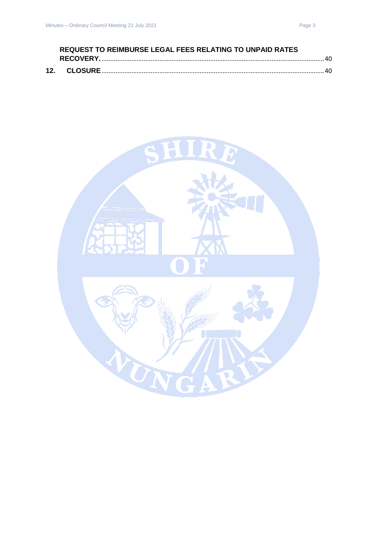| <b>REQUEST TO REIMBURSE LEGAL FEES RELATING TO UNPAID RATES</b> |  |  |  |
|-----------------------------------------------------------------|--|--|--|
|                                                                 |  |  |  |
|                                                                 |  |  |  |

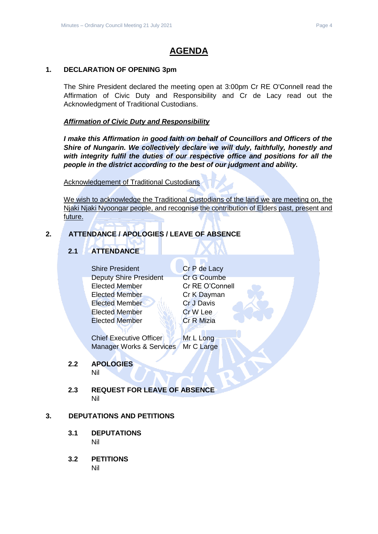## **AGENDA**

#### <span id="page-3-0"></span>**1. DECLARATION OF OPENING 3pm**

The Shire President declared the meeting open at 3:00pm Cr RE O'Connell read the Affirmation of Civic Duty and Responsibility and Cr de Lacy read out the Acknowledgment of Traditional Custodians.

#### *Affirmation of Civic Duty and Responsibility*

*I make this Affirmation in good faith on behalf of Councillors and Officers of the Shire of Nungarin. We collectively declare we will duly, faithfully, honestly and with integrity fulfil the duties of our respective office and positions for all the people in the district according to the best of our judgment and ability.*

#### Acknowledgement of Traditional Custodians

We wish to acknowledge the Traditional Custodians of the land we are meeting on, the Njaki Njaki Nyoongar people, and recognise the contribution of Elders past, present and future.

#### <span id="page-3-2"></span><span id="page-3-1"></span>**2. ATTENDANCE / APOLOGIES / LEAVE OF ABSENCE**

## **2.1 ATTENDANCE**

Shire President Cr P de Lacy Deputy Shire President Cr G Coumbe Elected Member Cr RE O'Connell Elected Member Cr K Dayman Elected Member Cr J Davis Elected Member New Cr W Lee Elected Member Cr R Mizia

Chief Executive Officer Mr L Long Manager Works & Services Mr C Large

## <span id="page-3-3"></span>**2.2 APOLOGIES**

Nil

<span id="page-3-4"></span>**2.3 REQUEST FOR LEAVE OF ABSENCE** Nil

#### <span id="page-3-6"></span><span id="page-3-5"></span>**3. DEPUTATIONS AND PETITIONS**

- **3.1 DEPUTATIONS** Nil
- <span id="page-3-7"></span>**3.2 PETITIONS** Nil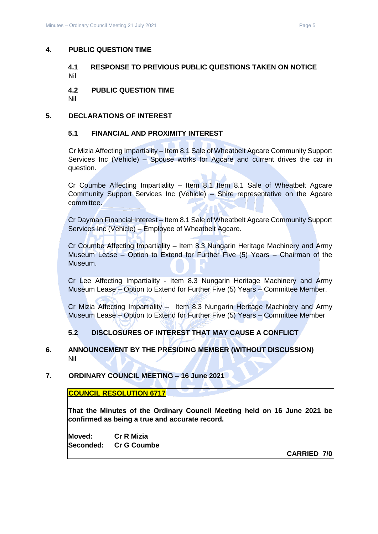#### <span id="page-4-1"></span><span id="page-4-0"></span>**4. PUBLIC QUESTION TIME**

#### **4.1 RESPONSE TO PREVIOUS PUBLIC QUESTIONS TAKEN ON NOTICE** Nil

<span id="page-4-2"></span>**4.2 PUBLIC QUESTION TIME**

Nil

#### <span id="page-4-4"></span><span id="page-4-3"></span>**5. DECLARATIONS OF INTEREST**

#### **5.1 FINANCIAL AND PROXIMITY INTEREST**

Cr Mizia Affecting Impartiality – Item 8.1 Sale of Wheatbelt Agcare Community Support Services Inc (Vehicle) – Spouse works for Agcare and current drives the car in question.

Cr Coumbe Affecting Impartiality – Item 8.1 Item 8.1 Sale of Wheatbelt Agcare Community Support Services Inc (Vehicle) – Shire representative on the Agcare committee.

Cr Dayman Financial Interest – Item 8.1 Sale of Wheatbelt Agcare Community Support Services Inc (Vehicle) – Employee of Wheatbelt Agcare.

Cr Coumbe Affecting Impartiality – Item 8.3 Nungarin Heritage Machinery and Army Museum Lease – Option to Extend for Further Five (5) Years – Chairman of the Museum.

Cr Lee Affecting Impartiality - Item 8.3 Nungarin Heritage Machinery and Army Museum Lease – Option to Extend for Further Five (5) Years – Committee Member.

Cr Mizia Affecting Impartiality – Item 8.3 Nungarin Heritage Machinery and Army Museum Lease – Option to Extend for Further Five (5) Years – Committee Member

#### **5.2 DISCLOSURES OF INTEREST THAT MAY CAUSE A CONFLICT**

#### <span id="page-4-6"></span><span id="page-4-5"></span>**6. ANNOUNCEMENT BY THE PRESIDING MEMBER (WITHOUT DISCUSSION)** Nil

#### <span id="page-4-7"></span>**7. ORDINARY COUNCIL MEETING – 16 June 2021**

#### **COUNCIL RESOLUTION 6717**

**That the Minutes of the Ordinary Council Meeting held on 16 June 2021 be confirmed as being a true and accurate record.**

**Moved: Cr R Mizia Seconded: Cr G Coumbe**

**CARRIED 7/0**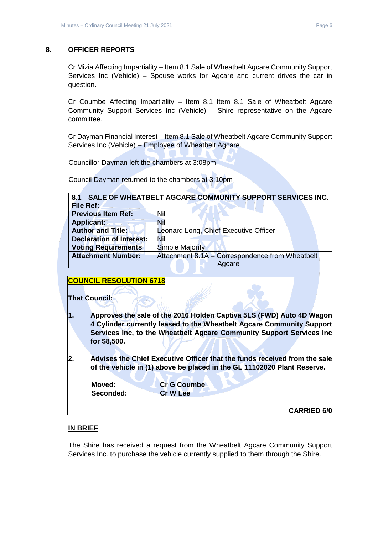#### <span id="page-5-0"></span>**8. OFFICER REPORTS**

Cr Mizia Affecting Impartiality – Item 8.1 Sale of Wheatbelt Agcare Community Support Services Inc (Vehicle) – Spouse works for Agcare and current drives the car in question.

Cr Coumbe Affecting Impartiality – Item 8.1 Item 8.1 Sale of Wheatbelt Agcare Community Support Services Inc (Vehicle) – Shire representative on the Agcare committee.

Cr Dayman Financial Interest – Item 8.1 Sale of Wheatbelt Agcare Community Support Services Inc (Vehicle) – Employee of Wheatbelt Agcare.

Councillor Dayman left the chambers at 3:08pm

Council Dayman returned to the chambers at 3:10pm

<span id="page-5-1"></span>

| SALE OF WHEATBELT AGCARE COMMUNITY SUPPORT SERVICES INC.<br>8.1 |                                                 |  |  |  |  |
|-----------------------------------------------------------------|-------------------------------------------------|--|--|--|--|
| File Ref:                                                       |                                                 |  |  |  |  |
| <b>Previous Item Ref:</b>                                       | Nil                                             |  |  |  |  |
| <b>Applicant:</b>                                               | Nil                                             |  |  |  |  |
| <b>Author and Title:</b>                                        | Leonard Long, Chief Executive Officer           |  |  |  |  |
| <b>Declaration of Interest:</b>                                 | <b>Nil</b>                                      |  |  |  |  |
| <b>Voting Requirements</b>                                      | <b>Simple Majority</b>                          |  |  |  |  |
| <b>Attachment Number:</b>                                       | Attachment 8.1A - Correspondence from Wheatbelt |  |  |  |  |
|                                                                 | Agcare                                          |  |  |  |  |

#### **COUNCIL RESOLUTION 6718**

#### **That Council:**

- **1. Approves the sale of the 2016 Holden Captiva 5LS (FWD) Auto 4D Wagon 4 Cylinder currently leased to the Wheatbelt Agcare Community Support Services Inc, to the Wheatbelt Agcare Community Support Services Inc for \$8,500.**
- **2. Advises the Chief Executive Officer that the funds received from the sale of the vehicle in (1) above be placed in the GL 11102020 Plant Reserve.**

| Moved:   |  |
|----------|--|
| Secondec |  |

**Cr G Coumbe Seconded: Cr W Lee**

**CARRIED 6/0**

#### **IN BRIEF**

The Shire has received a request from the Wheatbelt Agcare Community Support Services Inc. to purchase the vehicle currently supplied to them through the Shire.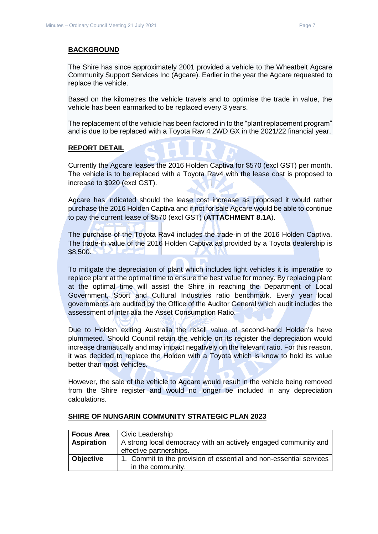**BACKGROUND**

The Shire has since approximately 2001 provided a vehicle to the Wheatbelt Agcare Community Support Services Inc (Agcare). Earlier in the year the Agcare requested to replace the vehicle.

Based on the kilometres the vehicle travels and to optimise the trade in value, the vehicle has been earmarked to be replaced every 3 years.

The replacement of the vehicle has been factored in to the "plant replacement program" and is due to be replaced with a Toyota Rav 4 2WD GX in the 2021/22 financial year.

#### **REPORT DETAIL**

Currently the Agcare leases the 2016 Holden Captiva for \$570 (excl GST) per month. The vehicle is to be replaced with a Toyota Rav4 with the lease cost is proposed to increase to \$920 (excl GST).

Agcare has indicated should the lease cost increase as proposed it would rather purchase the 2016 Holden Captiva and if not for sale Agcare would be able to continue to pay the current lease of \$570 (excl GST) (**ATTACHMENT 8.1A**).

The purchase of the Toyota Rav4 includes the trade-in of the 2016 Holden Captiva. The trade-in value of the 2016 Holden Captiva as provided by a Toyota dealership is \$8,500.

To mitigate the depreciation of plant which includes light vehicles it is imperative to replace plant at the optimal time to ensure the best value for money. By replacing plant at the optimal time will assist the Shire in reaching the Department of Local Government, Sport and Cultural Industries ratio benchmark. Every year local governments are audited by the Office of the Auditor General which audit includes the assessment of inter alia the Asset Consumption Ratio.

Due to Holden exiting Australia the resell value of second-hand Holden's have plummeted. Should Council retain the vehicle on its register the depreciation would increase dramatically and may impact negatively on the relevant ratio. For this reason, it was decided to replace the Holden with a Toyota which is know to hold its value better than most vehicles.

However, the sale of the vehicle to Agcare would result in the vehicle being removed from the Shire register and would no longer be included in any depreciation calculations.

| <b>Focus Area</b> | Civic Leadership                                                   |
|-------------------|--------------------------------------------------------------------|
| <b>Aspiration</b> | A strong local democracy with an actively engaged community and    |
|                   | effective partnerships.                                            |
| <b>Objective</b>  | 1. Commit to the provision of essential and non-essential services |
|                   | in the community.                                                  |

#### **SHIRE OF NUNGARIN COMMUNITY STRATEGIC PLAN 2023**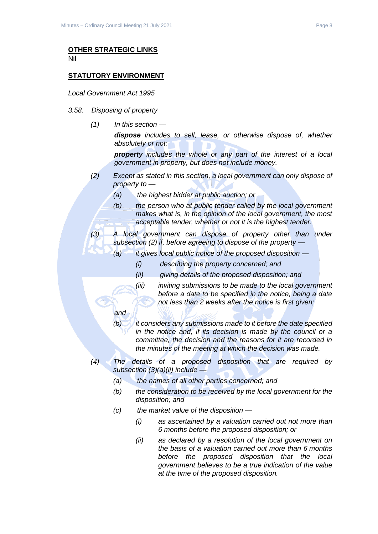#### **OTHER STRATEGIC LINKS** Nil

#### **STATUTORY ENVIRONMENT**

*Local Government Act 1995*

- *3.58. Disposing of property*
	- *(1) In this section —*

*and*

*dispose includes to sell, lease, or otherwise dispose of, whether absolutely or not;*

*property includes the whole or any part of the interest of a local government in property, but does not include money.*

- *(2) Except as stated in this section, a local government can only dispose of property to —*
	- *(a) the highest bidder at public auction; or*
	- *(b) the person who at public tender called by the local government makes what is, in the opinion of the local government, the most acceptable tender, whether or not it is the highest tender.*

*(3) A local government can dispose of property other than under subsection (2) if, before agreeing to dispose of the property —*

- *(a) it gives local public notice of the proposed disposition —*
	- *(i) describing the property concerned; and*
	- *(ii) giving details of the proposed disposition; and*
	- *(iii) inviting submissions to be made to the local government before a date to be specified in the notice, being a date not less than 2 weeks after the notice is first given;*
- *(b) it considers any submissions made to it before the date specified in the notice and, if its decision is made by the council or a committee, the decision and the reasons for it are recorded in the minutes of the meeting at which the decision was made.*
- *(4) The details of a proposed disposition that are required by subsection (3)(a)(ii) include —*
	- *(a) the names of all other parties concerned; and*
	- *(b) the consideration to be received by the local government for the disposition; and*
	- *(c) the market value of the disposition —*
		- *(i) as ascertained by a valuation carried out not more than 6 months before the proposed disposition; or*
		- *(ii) as declared by a resolution of the local government on the basis of a valuation carried out more than 6 months before the proposed disposition that the local government believes to be a true indication of the value at the time of the proposed disposition.*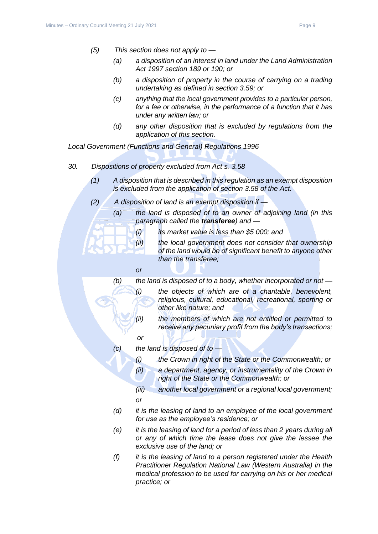- *(5) This section does not apply to —*
	- *(a) a disposition of an interest in land under the Land Administration Act 1997 section 189 or 190; or*
	- *(b) a disposition of property in the course of carrying on a trading undertaking as defined in section 3.59; or*
	- *(c) anything that the local government provides to a particular person, for a fee or otherwise, in the performance of a function that it has under any written law; or*
	- *(d) any other disposition that is excluded by regulations from the application of this section.*

*Local Government (Functions and General) Regulations 1996*

- *30. Dispositions of property excluded from Act s. 3.58*
	- *(1) A disposition that is described in this regulation as an exempt disposition is excluded from the application of section 3.58 of the Act.*
	- *(2) A disposition of land is an exempt disposition if —*
		- *(a) the land is disposed of to an owner of adjoining land (in this paragraph called the transferee) and —*
			- *(i) its market value is less than \$5 000; and*
			- *(ii) the local government does not consider that ownership of the land would be of significant benefit to anyone other than the transferee;*
			- *or*

*(b) the land is disposed of to a body, whether incorporated or not — (i) the objects of which are of a charitable, benevolent, religious, cultural, educational, recreational, sporting or* 

- *other like nature; and (ii) the members of which are not entitled or permitted to receive any pecuniary profit from the body's transactions;*
- *or*
- *(c) the land is disposed of to —*
	- *(i) the Crown in right of the State or the Commonwealth; or*
	- *(ii) a department, agency, or instrumentality of the Crown in right of the State or the Commonwealth; or*
	- *(iii) another local government or a regional local government; or*
- *(d) it is the leasing of land to an employee of the local government for use as the employee's residence; or*
- *(e) it is the leasing of land for a period of less than 2 years during all or any of which time the lease does not give the lessee the exclusive use of the land; or*
- *(f) it is the leasing of land to a person registered under the Health Practitioner Regulation National Law (Western Australia) in the medical profession to be used for carrying on his or her medical practice; or*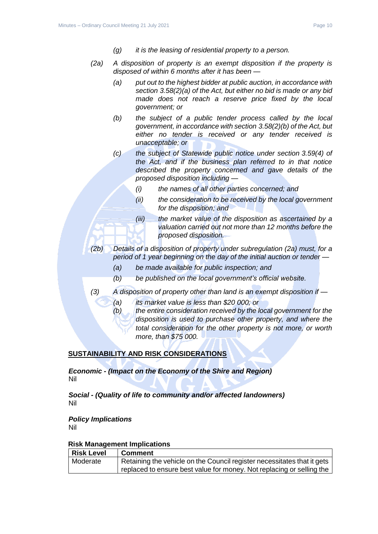- *(g) it is the leasing of residential property to a person.*
- *(2a) A disposition of property is an exempt disposition if the property is disposed of within 6 months after it has been —*
	- *(a) put out to the highest bidder at public auction, in accordance with section 3.58(2)(a) of the Act, but either no bid is made or any bid made does not reach a reserve price fixed by the local government; or*
	- *(b) the subject of a public tender process called by the local government, in accordance with section 3.58(2)(b) of the Act, but either no tender is received or any tender received is unacceptable; or*
	- *(c) the subject of Statewide public notice under section 3.59(4) of the Act, and if the business plan referred to in that notice described the property concerned and gave details of the proposed disposition including —*
		- *(i) the names of all other parties concerned; and*
		- *(ii) the consideration to be received by the local government for the disposition; and*
		- *(iii) the market value of the disposition as ascertained by a valuation carried out not more than 12 months before the proposed disposition.*
- *(2b) Details of a disposition of property under subregulation (2a) must, for a period of 1 year beginning on the day of the initial auction or tender —*
	- *(a) be made available for public inspection; and*
	- *(b) be published on the local government's official website.*
- *(3) A disposition of property other than land is an exempt disposition if —*
	- *(a) its market value is less than \$20 000; or*
	- *(b) the entire consideration received by the local government for the disposition is used to purchase other property, and where the total consideration for the other property is not more, or worth more, than \$75 000.*

#### **SUSTAINABILITY AND RISK CONSIDERATIONS**

*Economic - (Impact on the Economy of the Shire and Region)* Nil

*Social - (Quality of life to community and/or affected landowners)* Nil

*Policy Implications* Nil

#### **Risk Management Implications**

| Risk Level | <b>Comment</b>                                                          |
|------------|-------------------------------------------------------------------------|
| Moderate   | Retaining the vehicle on the Council register necessitates that it gets |
|            | replaced to ensure best value for money. Not replacing or selling the   |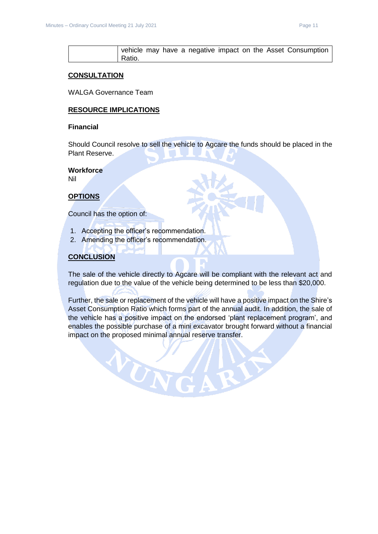|        |  |  |  |  | vehicle may have a negative impact on the Asset Consumption |  |
|--------|--|--|--|--|-------------------------------------------------------------|--|
| Ratio. |  |  |  |  |                                                             |  |

#### **CONSULTATION**

WALGA Governance Team

#### **RESOURCE IMPLICATIONS**

#### **Financial**

Should Council resolve to sell the vehicle to Agcare the funds should be placed in the Plant Reserve.

#### **Workforce**

Nil

#### **OPTIONS**

Council has the option of:

- 1. Accepting the officer's recommendation.
- 2. Amending the officer's recommendation.

VUN

#### **CONCLUSION**

The sale of the vehicle directly to Agcare will be compliant with the relevant act and regulation due to the value of the vehicle being determined to be less than \$20,000.

Further, the sale or replacement of the vehicle will have a positive impact on the Shire's Asset Consumption Ratio which forms part of the annual audit. In addition, the sale of the vehicle has a positive impact on the endorsed 'plant replacement program', and enables the possible purchase of a mini excavator brought forward without a financial impact on the proposed minimal annual reserve transfer.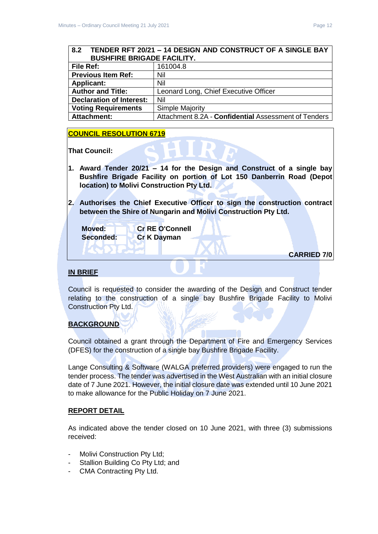### <span id="page-11-0"></span>**8.2 TENDER RFT 20/21 – 14 DESIGN AND CONSTRUCT OF A SINGLE BAY BUSHFIRE BRIGADE FACILITY.**

| File Ref:                       | 161004.8                                             |
|---------------------------------|------------------------------------------------------|
| <b>Previous Item Ref:</b>       | Nil                                                  |
| <b>Applicant:</b>               | Nil                                                  |
| <b>Author and Title:</b>        | Leonard Long, Chief Executive Officer                |
| <b>Declaration of Interest:</b> | Nil                                                  |
| <b>Voting Requirements</b>      | <b>Simple Majority</b>                               |
| <b>Attachment:</b>              | Attachment 8.2A - Confidential Assessment of Tenders |

#### **COUNCIL RESOLUTION 6719**

**That Council:**

- **1. Award Tender 20/21 – 14 for the Design and Construct of a single bay Bushfire Brigade Facility on portion of Lot 150 Danberrin Road (Depot location) to Molivi Construction Pty Ltd.**
- **2. Authorises the Chief Executive Officer to sign the construction contract between the Shire of Nungarin and Molivi Construction Pty Ltd.**

| Moved:<br>Seconded: | <b>Cr RE O'Connell</b><br><b>Cr K Dayman</b> |                    |  |
|---------------------|----------------------------------------------|--------------------|--|
|                     |                                              | <b>CARRIED 7/0</b> |  |

#### **IN BRIEF**

Council is requested to consider the awarding of the Design and Construct tender relating to the construction of a single bay Bushfire Brigade Facility to Molivi Construction Pty Ltd.

#### **BACKGROUND**

Council obtained a grant through the Department of Fire and Emergency Services (DFES) for the construction of a single bay Bushfire Brigade Facility.

Lange Consulting & Software (WALGA preferred providers) were engaged to run the tender process. The tender was advertised in the West Australian with an initial closure date of 7 June 2021. However, the initial closure date was extended until 10 June 2021 to make allowance for the Public Holiday on 7 June 2021.

#### **REPORT DETAIL**

As indicated above the tender closed on 10 June 2021, with three (3) submissions received:

- Molivi Construction Pty Ltd;
- Stallion Building Co Pty Ltd; and
- CMA Contracting Pty Ltd.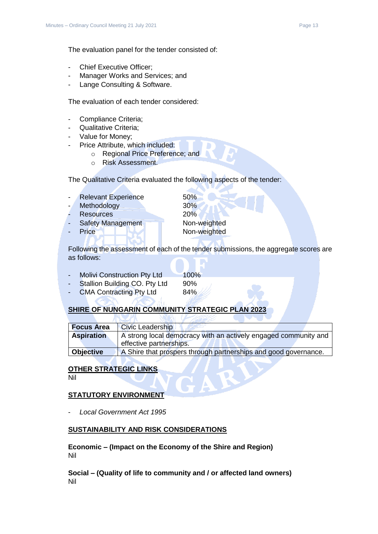The evaluation panel for the tender consisted of:

- Chief Executive Officer:
- Manager Works and Services; and
- Lange Consulting & Software.

The evaluation of each tender considered:

- Compliance Criteria;
- Qualitative Criteria;
- Value for Money;
- Price Attribute, which included:
	- o Regional Price Preference; and
	- o Risk Assessment.

The Qualitative Criteria evaluated the following aspects of the tender:

- Relevant Experience 50%
- Methodology 30%
- Resources 20%
- Safety Management Non-weighted
- 

Price Non-weighted

Following the assessment of each of the tender submissions, the aggregate scores are as follows:

- Molivi Construction Pty Ltd 100% Stallion Building CO. Pty Ltd 90%
- CMA Contracting Pty Ltd 84%

#### **SHIRE OF NUNGARIN COMMUNITY STRATEGIC PLAN 202**

| <b>Focus Area</b> | <b>Civic Leadership</b>                                                                    |
|-------------------|--------------------------------------------------------------------------------------------|
| <b>Aspiration</b> | A strong local democracy with an actively engaged community and<br>effective partnerships. |
| <b>Objective</b>  | A Shire that prospers through partnerships and good governance.                            |

#### **OTHER STRATEGIC LINKS**

Nil

#### **STATUTORY ENVIRONMENT**

- *Local Government Act 1995*

#### **SUSTAINABILITY AND RISK CONSIDERATIONS**

**Economic – (Impact on the Economy of the Shire and Region)** Nil

**Social – (Quality of life to community and / or affected land owners)** Nil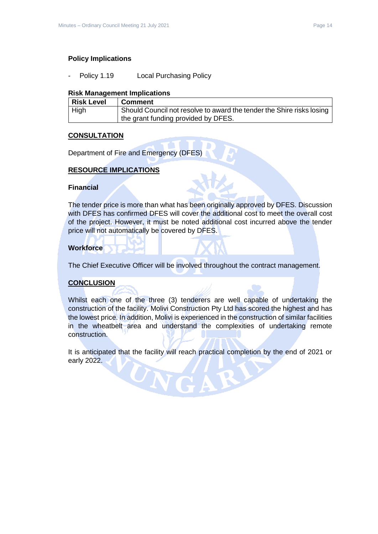#### **Policy Implications**

Policy 1.19 Local Purchasing Policy

#### **Risk Management Implications**

| Risk Level  | <b>Comment</b>                                                        |
|-------------|-----------------------------------------------------------------------|
| <b>High</b> | Should Council not resolve to award the tender the Shire risks losing |
|             | the grant funding provided by DFES.                                   |

#### **CONSULTATION**

Department of Fire and Emergency (DFES)

#### **RESOURCE IMPLICATIONS**

#### **Financial**

The tender price is more than what has been originally approved by DFES. Discussion with DFES has confirmed DFES will cover the additional cost to meet the overall cost of the project. However, it must be noted additional cost incurred above the tender price will not automatically be covered by DFES.

#### **Workforce**

The Chief Executive Officer will be involved throughout the contract management.

#### **CONCLUSION**

Whilst each one of the three (3) tenderers are well capable of undertaking the construction of the facility. Molivi Construction Pty Ltd has scored the highest and has the lowest price. In addition, Molivi is experienced in the construction of similar facilities in the wheatbelt area and understand the complexities of undertaking remote construction.

It is anticipated that the facility will reach practical completion by the end of 2021 or early 2022.

UNG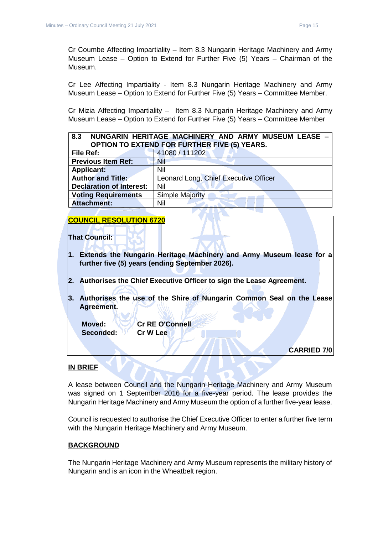Cr Coumbe Affecting Impartiality – Item 8.3 Nungarin Heritage Machinery and Army Museum Lease – Option to Extend for Further Five (5) Years – Chairman of the Museum.

Cr Lee Affecting Impartiality - Item 8.3 Nungarin Heritage Machinery and Army Museum Lease – Option to Extend for Further Five (5) Years – Committee Member.

Cr Mizia Affecting Impartiality – Item 8.3 Nungarin Heritage Machinery and Army Museum Lease – Option to Extend for Further Five (5) Years – Committee Member

<span id="page-14-0"></span>

| 8.3                             | NUNGARIN HERITAGE MACHINERY AND ARMY MUSEUM LEASE - |
|---------------------------------|-----------------------------------------------------|
|                                 | <b>OPTION TO EXTEND FOR FURTHER FIVE (5) YEARS.</b> |
| File Ref:                       | 41080 / 111202                                      |
| <b>Previous Item Ref:</b>       | Nil                                                 |
| <b>Applicant:</b>               | Nil                                                 |
| <b>Author and Title:</b>        | Leonard Long, Chief Executive Officer               |
| <b>Declaration of Interest:</b> | Nil                                                 |
| <b>Voting Requirements</b>      | <b>Simple Majority</b>                              |
| <b>Attachment:</b>              | Nil                                                 |

#### **COUNCIL RESOLUTION 6720**

**That Council:**

- **1. Extends the Nungarin Heritage Machinery and Army Museum lease for a further five (5) years (ending September 2026).**
- **2. Authorises the Chief Executive Officer to sign the Lease Agreement.**
- **3. Authorises the use of the Shire of Nungarin Common Seal on the Lease Agreement.**

**Seconded: Cr W Lee**

**Moved: Cr RE O'Connell**

**CARRIED 7/0**

#### **IN BRIEF**

A lease between Council and the Nungarin Heritage Machinery and Army Museum was signed on 1 September 2016 for a five-year period. The lease provides the Nungarin Heritage Machinery and Army Museum the option of a further five-year lease.

Council is requested to authorise the Chief Executive Officer to enter a further five term with the Nungarin Heritage Machinery and Army Museum.

#### **BACKGROUND**

The Nungarin Heritage Machinery and Army Museum represents the military history of Nungarin and is an icon in the Wheatbelt region.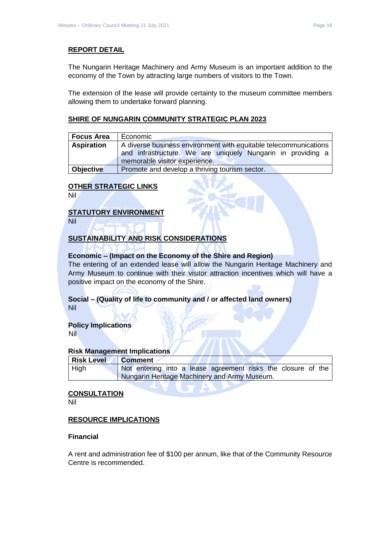#### **REPORT DETAIL**

The Nungarin Heritage Machinery and Army Museum is an important addition to the economy of the Town by attracting large numbers of visitors to the Town.

The extension of the lease will provide certainty to the museum committee members allowing them to undertake forward planning.

#### **SHIRE OF NUNGARIN COMMUNITY STRATEGIC PLAN 2023**

| <b>Focus Area</b> | Economic                                                         |
|-------------------|------------------------------------------------------------------|
| <b>Aspiration</b> | A diverse business environment with equitable telecommunications |
|                   | and infrastructure. We are uniquely Nungarin in providing a      |
|                   | memorable visitor experience.                                    |
| <b>Objective</b>  | Promote and develop a thriving tourism sector.                   |

#### **OTHER STRATEGIC LINKS**

Nil

#### **STATUTORY ENVIRONMENT**

Nil

#### **SUSTAINABILITY AND RISK CONSIDERATIONS**

#### **Economic – (Impact on the Economy of the Shire and Region)**

The entering of an extended lease will allow the Nungarin Heritage Machinery and Army Museum to continue with their visitor attraction incentives which will have a positive impact on the economy of the Shire.

## **Social – (Quality of life to community and / or affected land owners)**

Nil

#### **Policy Implications** Nil

#### **Risk Management Implications**

| <b>Risk Level</b> | <b>Comment</b>                                               |
|-------------------|--------------------------------------------------------------|
| High              | Not entering into a lease agreement risks the closure of the |
|                   | Nungarin Heritage Machinery and Army Museum.                 |

#### **CONSULTATION**

Nil

#### **RESOURCE IMPLICATIONS**

#### **Financial**

A rent and administration fee of \$100 per annum, like that of the Community Resource Centre is recommended.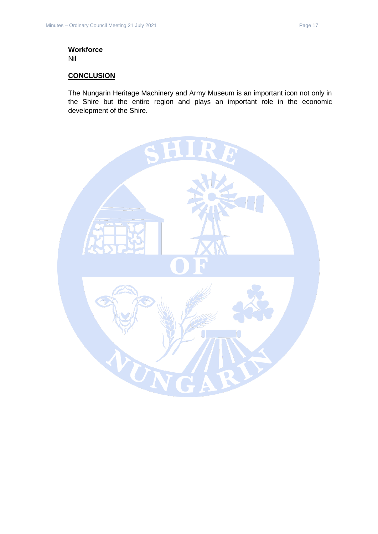## **Workforce**

Nil

#### **CONCLUSION**

The Nungarin Heritage Machinery and Army Museum is an important icon not only in the Shire but the entire region and plays an important role in the economic development of the Shire.

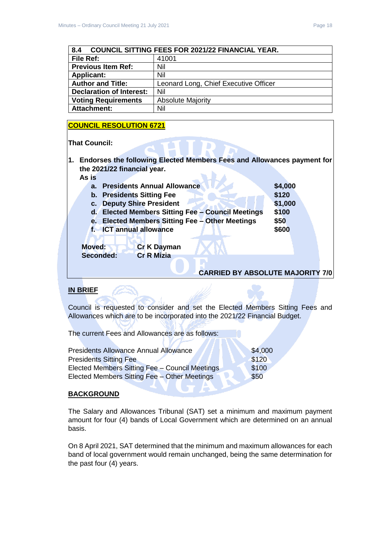<span id="page-17-0"></span>

| <b>COUNCIL SITTING FEES FOR 2021/22 FINANCIAL YEAR.</b><br>$\overline{8.4}$ |
|-----------------------------------------------------------------------------|
|-----------------------------------------------------------------------------|

| File Ref:                       | 41001                                 |  |
|---------------------------------|---------------------------------------|--|
| <b>Previous Item Ref:</b>       | Nil                                   |  |
| <b>Applicant:</b>               | Nil                                   |  |
| <b>Author and Title:</b>        | Leonard Long, Chief Executive Officer |  |
| <b>Declaration of Interest:</b> | Nil                                   |  |
| <b>Voting Requirements</b>      | <b>Absolute Majority</b>              |  |
| <b>Attachment:</b>              | Nil                                   |  |

#### **COUNCIL RESOLUTION 6721**

**That Council:**

**1. Endorses the following Elected Members Fees and Allowances payment for the 2021/22 financial year. As is**

| <b>Presidents Annual Allowance</b><br>$a_{\cdot}$                       | \$4,000 |
|-------------------------------------------------------------------------|---------|
| <b>b.</b> Presidents Sitting Fee                                        | \$120   |
| <b>Deputy Shire President</b><br>c.                                     | \$1,000 |
| <b>Elected Members Sitting Fee - Council Meetings</b><br>$\mathsf{d}$ . | \$100   |
| <b>Elected Members Sitting Fee - Other Meetings</b><br>е.               | \$50    |
| f. ICT annual allowance                                                 | \$600   |
| <b>Moved:</b><br><b>Cr K Dayman</b><br><b>Cr R Mizia</b><br>Seconded:   |         |
|                                                                         |         |
| <b>CARRIED BY ABSOLUTE MAJORITY 7/0</b>                                 |         |

#### **IN BRIEF**

Council is requested to consider and set the Elected Members Sitting Fees and Allowances which are to be incorporated into the 2021/22 Financial Budget.

 $\mathbf{M}$ 

The current Fees and Allowances are as follows:

FAN

| <b>Presidents Allowance Annual Allowance</b>   | \$4,000 |
|------------------------------------------------|---------|
| <b>Presidents Sitting Fee</b>                  | \$120   |
| Elected Members Sitting Fee - Council Meetings | \$100   |
| Elected Members Sitting Fee - Other Meetings   | \$50    |
|                                                |         |

#### **BACKGROUND**

The Salary and Allowances Tribunal (SAT) set a minimum and maximum payment amount for four (4) bands of Local Government which are determined on an annual basis.

**UTA** 

On 8 April 2021, SAT determined that the minimum and maximum allowances for each band of local government would remain unchanged, being the same determination for the past four (4) years.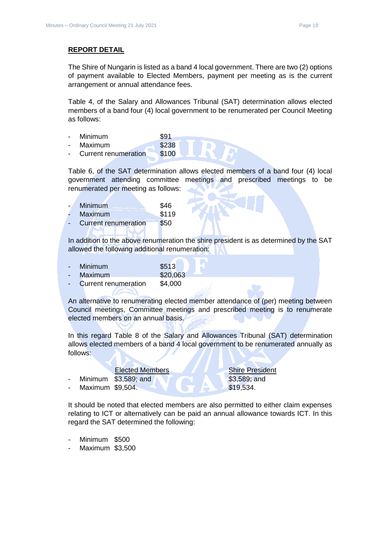#### **REPORT DETAIL**

The Shire of Nungarin is listed as a band 4 local government. There are two (2) options of payment available to Elected Members, payment per meeting as is the current arrangement or annual attendance fees.

Table 4, of the Salary and Allowances Tribunal (SAT) determination allows elected members of a band four (4) local government to be renumerated per Council Meeting as follows:

- Minimum \$91
- Maximum \$238
- Current renumeration \$100

Table 6, of the SAT determination allows elected members of a band four (4) local government attending committee meetings and prescribed meetings to be renumerated per meeting as follows:

| Minimum                     | \$46  |
|-----------------------------|-------|
| Maximum                     | \$119 |
| <b>Current renumeration</b> | \$50  |
|                             |       |

In addition to the above renumeration the shire president is as determined by the SAT allowed the following additional renumeration:

| Minimum                     | \$513    |
|-----------------------------|----------|
| Maximum                     | \$20,063 |
| <b>Current renumeration</b> | \$4,000  |

An alternative to renumerating elected member attendance of (per) meeting between Council meetings, Committee meetings and prescribed meeting is to renumerate elected members on an annual basis.

In this regard Table 8 of the Salary and Allowances Tribunal (SAT) determination allows elected members of a band 4 local government to be renumerated annually as follows:

|                  | <b>Elected Members</b>   | <b>Shire President</b> |
|------------------|--------------------------|------------------------|
|                  | - Minimum $$3,589$ ; and | $$3,589$ ; and         |
| Maximum \$9,504. |                          | \$19.534.              |

It should be noted that elected members are also permitted to either claim expenses relating to ICT or alternatively can be paid an annual allowance towards ICT. In this regard the SAT determined the following:

- Minimum \$500
- Maximum \$3,500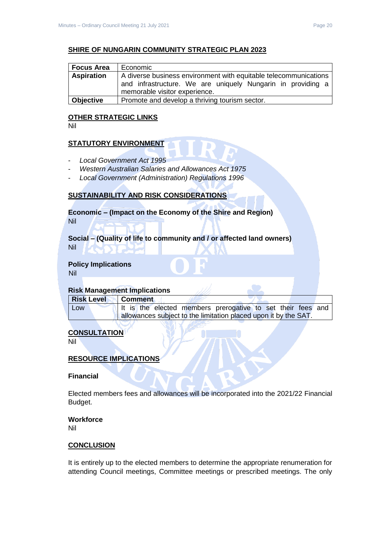| <b>Focus Area</b> | Economic                                                         |  |  |
|-------------------|------------------------------------------------------------------|--|--|
| <b>Aspiration</b> | A diverse business environment with equitable telecommunications |  |  |
|                   | and infrastructure. We are uniquely Nungarin in providing a      |  |  |
|                   | memorable visitor experience.                                    |  |  |
| <b>Objective</b>  | Promote and develop a thriving tourism sector.                   |  |  |

#### **OTHER STRATEGIC LINKS**

Nil

#### **STATUTORY ENVIRONMENT**

- *Local Government Act 1995*
- *Western Australian Salaries and Allowances Act 1975*
- *Local Government (Administration) Regulations 1996*

#### **SUSTAINABILITY AND RISK CONSIDERATIONS**

**Economic – (Impact on the Economy of the Shire and Region)** Nil

**Social – (Quality of life to community and / or affected land owners)** Nil

**Policy Implications**

Nil

#### **Risk Management Implications**

| <b>Risk Level</b> | <b>Comment</b> |  |                                                                 |  |  |  |
|-------------------|----------------|--|-----------------------------------------------------------------|--|--|--|
| Low               |                |  | It is the elected members prerogative to set their fees and     |  |  |  |
|                   |                |  | allowances subject to the limitation placed upon it by the SAT. |  |  |  |

#### **CONSULTATION**

Nil

#### **RESOURCE IMPLICATIONS**

#### **Financial**

Elected members fees and allowances will be incorporated into the 2021/22 Financial Budget.

#### **Workforce**

Nil

#### **CONCLUSION**

It is entirely up to the elected members to determine the appropriate renumeration for attending Council meetings, Committee meetings or prescribed meetings. The only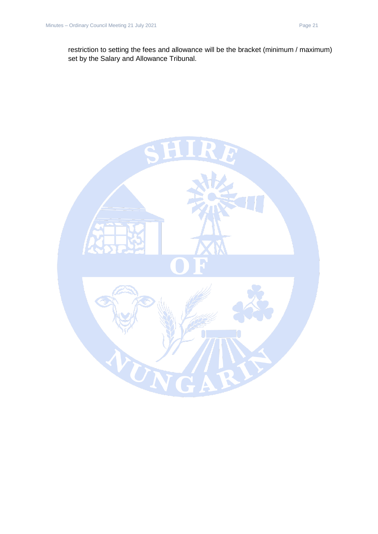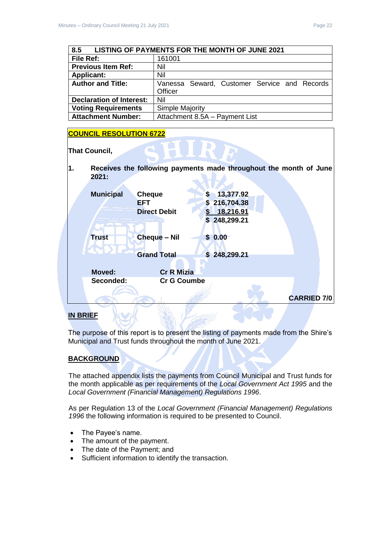<span id="page-21-0"></span>

| 8.5                                    | LISTING OF PAYMENTS FOR THE MONTH OF JUNE 2021 |  |  |  |  |
|----------------------------------------|------------------------------------------------|--|--|--|--|
| File Ref:                              | 161001                                         |  |  |  |  |
| <b>Previous Item Ref:</b>              | Nil                                            |  |  |  |  |
| <b>Applicant:</b>                      | Nil                                            |  |  |  |  |
| <b>Author and Title:</b>               | Vanessa Seward, Customer Service and Records   |  |  |  |  |
|                                        | <b>Officer</b>                                 |  |  |  |  |
| <b>Declaration of Interest:</b><br>Nil |                                                |  |  |  |  |
| <b>Voting Requirements</b>             | <b>Simple Majority</b>                         |  |  |  |  |
| <b>Attachment Number:</b>              | Attachment 8.5A - Payment List                 |  |  |  |  |

#### **COUNCIL RESOLUTION 6722**

**That Council,** 

**1. Receives the following payments made throughout the month of June 2021:**

| <b>Municipal</b> | <b>Cheque</b>       | 13,377.92<br>S    |                    |
|------------------|---------------------|-------------------|--------------------|
|                  | <b>EFT</b>          | 216,704.38<br>\$. |                    |
|                  | <b>Direct Debit</b> | 18,216.91         |                    |
|                  |                     | \$248,299.21      |                    |
| <b>Trust</b>     | <b>Cheque - Nil</b> | \$0.00            |                    |
|                  | <b>Grand Total</b>  | \$248,299.21      |                    |
|                  |                     |                   |                    |
| <b>Moved:</b>    | <b>Cr R Mizia</b>   |                   |                    |
| Seconded:        | <b>Cr G Coumbe</b>  |                   |                    |
|                  |                     |                   |                    |
|                  |                     |                   | <b>CARRIED 7/0</b> |
|                  |                     |                   |                    |

#### **IN BRIEF**

The purpose of this report is to present the listing of payments made from the Shire's Municipal and Trust funds throughout the month of June 2021.

#### **BACKGROUND**

The attached appendix lists the payments from Council Municipal and Trust funds for the month applicable as per requirements of the *Local Government Act 1995* and the *Local Government (Financial Management) Regulations 1996*.

As per Regulation 13 of the *Local Government (Financial Management) Regulations 1996* the following information is required to be presented to Council.

- The Payee's name.
- The amount of the payment.
- The date of the Payment; and
- Sufficient information to identify the transaction.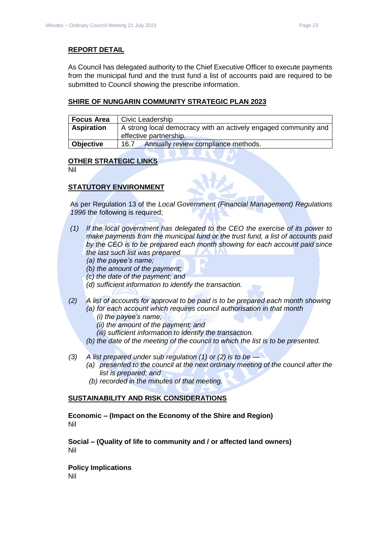#### **REPORT DETAIL**

As Council has delegated authority to the Chief Executive Officer to execute payments from the municipal fund and the trust fund a list of accounts paid are required to be submitted to Council showing the prescribe information.

#### **SHIRE OF NUNGARIN COMMUNITY STRATEGIC PLAN 2023**

| <b>Focus Area</b>                                                                                              | Civic Leadership                            |  |
|----------------------------------------------------------------------------------------------------------------|---------------------------------------------|--|
| <b>Aspiration</b><br>A strong local democracy with an actively engaged community and<br>effective partnership. |                                             |  |
| Objective                                                                                                      | Annually review compliance methods.<br>16.7 |  |

#### **OTHER STRATEGIC LINKS**

Nil

#### **STATUTORY ENVIRONMENT**

As per Regulation 13 of the *Local Government (Financial Management) Regulations 1996* the following is required;

- *(1) If the local government has delegated to the CEO the exercise of its power to make payments from the municipal fund or the trust fund, a list of accounts paid by the CEO is to be prepared each month showing for each account paid since the last such list was prepared* 
	- *(a) the payee's name;*
	- *(b) the amount of the payment;*
	- *(c) the date of the payment; and*
	- *(d) sufficient information to identify the transaction.*
- *(2) A list of accounts for approval to be paid is to be prepared each month showing (a) for each account which requires council authorisation in that month* 
	- *(i) the payee's name;*
	- *(ii) the amount of the payment; and*
	- *(iii) sufficient information to identify the transaction.*
	- *(b) the date of the meeting of the council to which the list is to be presented.*
- *(3) A list prepared under sub regulation (1) or (2) is to be —*
	- *(a) presented to the council at the next ordinary meeting of the council after the list is prepared; and*
	- *(b) recorded in the minutes of that meeting.*

#### **SUSTAINABILITY AND RISK CONSIDERATIONS**

**Economic – (Impact on the Economy of the Shire and Region)** Nil

**Social – (Quality of life to community and / or affected land owners)** Nil

**Policy Implications** Nil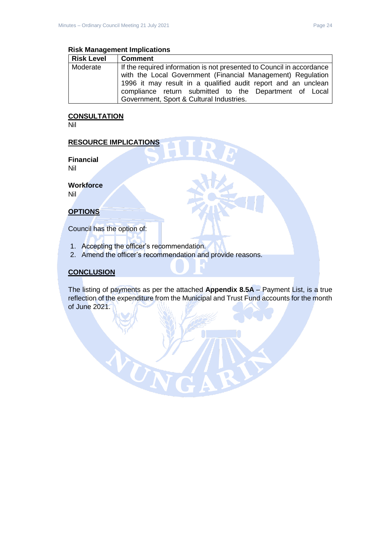#### **Risk Management Implications**

| <b>Risk Level</b> | <b>Comment</b>                                                        |
|-------------------|-----------------------------------------------------------------------|
| Moderate          | If the required information is not presented to Council in accordance |
|                   | with the Local Government (Financial Management) Regulation           |
|                   | 1996 it may result in a qualified audit report and an unclean         |
|                   | compliance return submitted to the Department of Local                |
|                   | Government, Sport & Cultural Industries.                              |

#### **CONSULTATION**

Nil

#### **RESOURCE IMPLICATIONS**

**Financial** Nil

**Workforce**

Nil

#### **OPTIONS**

Council has the option of:

1. Accepting the officer's recommendation.

UT

2. Amend the officer's recommendation and provide reasons.

#### **CONCLUSION**

The listing of payments as per the attached **Appendix 8.5A** – Payment List, is a true reflection of the expenditure from the Municipal and Trust Fund accounts for the month of June 2021.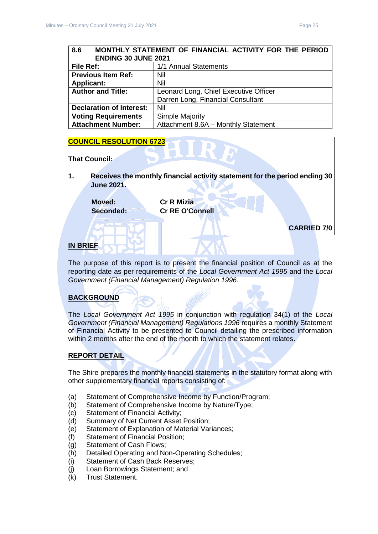## <span id="page-24-0"></span>**8.6 MONTHLY STATEMENT OF FINANCIAL ACTIVITY FOR THE PERIOD ENDING 30 JUNE 2021**

| <b>File Ref:</b>                | 1/1 Annual Statements                 |
|---------------------------------|---------------------------------------|
| <b>Previous Item Ref:</b>       | Nil                                   |
| <b>Applicant:</b>               | Nil                                   |
| <b>Author and Title:</b>        | Leonard Long, Chief Executive Officer |
|                                 | Darren Long, Financial Consultant     |
| <b>Declaration of Interest:</b> | Nil                                   |
| <b>Voting Requirements</b>      | <b>Simple Majority</b>                |
| <b>Attachment Number:</b>       | Attachment 8.6A - Monthly Statement   |

#### **COUNCIL RESOLUTION 6723**

#### **That Council:**

**1. Receives the monthly financial activity statement for the period ending 30 June 2021.**

**Moved: Cr R Mizia**

**Seconded: Cr RE O'Connell**

**CARRIED 7/0**

#### **IN BRIEF**

The purpose of this report is to present the financial position of Council as at the reporting date as per requirements of the *Local Government Act 1995* and the *Local Government (Financial Management) Regulation 1996.*

#### **BACKGROUND**

The *Local Government Act 1995* in conjunction with regulation 34(1) of the *Local Government (Financial Management) Regulations 1996* requires a monthly Statement of Financial Activity to be presented to Council detailing the prescribed information within 2 months after the end of the month to which the statement relates.

#### **REPORT DETAIL**

The Shire prepares the monthly financial statements in the statutory format along with other supplementary financial reports consisting of:

- (a) Statement of Comprehensive Income by Function/Program;
- (b) Statement of Comprehensive Income by Nature/Type;
- (c) Statement of Financial Activity;
- (d) Summary of Net Current Asset Position;
- (e) Statement of Explanation of Material Variances;
- (f) Statement of Financial Position;
- (g) Statement of Cash Flows;
- (h) Detailed Operating and Non-Operating Schedules;
- (i) Statement of Cash Back Reserves;
- (j) Loan Borrowings Statement; and
- (k) Trust Statement.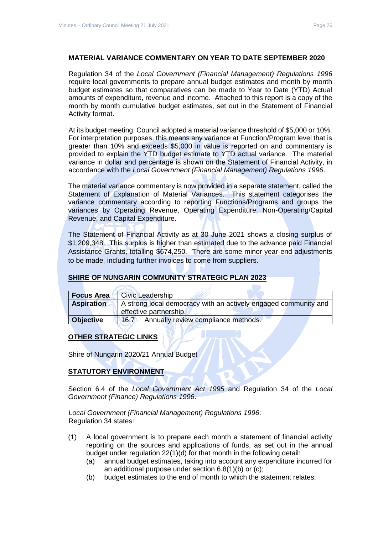#### **MATERIAL VARIANCE COMMENTARY ON YEAR TO DATE SEPTEMBER 2020**

Regulation 34 of the *Local Government (Financial Management) Regulations 1996*  require local governments to prepare annual budget estimates and month by month budget estimates so that comparatives can be made to Year to Date (YTD) Actual amounts of expenditure, revenue and income. Attached to this report is a copy of the month by month cumulative budget estimates, set out in the Statement of Financial Activity format.

At its budget meeting, Council adopted a material variance threshold of \$5,000 or 10%. For interpretation purposes, this means any variance at Function/Program level that is greater than 10% and exceeds \$5,000 in value is reported on and commentary is provided to explain the YTD budget estimate to YTD actual variance. The material variance in dollar and percentage is shown on the Statement of Financial Activity, in accordance with the *Local Government (Financial Management) Regulations 1996*.

The material variance commentary is now provided in a separate statement, called the Statement of Explanation of Material Variances. This statement categorises the variance commentary according to reporting Functions/Programs and groups the variances by Operating Revenue, Operating Expenditure, Non-Operating/Capital Revenue, and Capital Expenditure.

The Statement of Financial Activity as at 30 June 2021 shows a closing surplus of \$1,209,348. This surplus is higher than estimated due to the advance paid Financial Assistance Grants, totalling \$674,250. There are some minor year-end adjustments to be made, including further invoices to come from suppliers.

#### **SHIRE OF NUNGARIN COMMUNITY STRATEGIC PLAN 2023**

| <b>Focus Area</b> | <b>Civic Leadership</b>                                         |  |
|-------------------|-----------------------------------------------------------------|--|
| <b>Aspiration</b> | A strong local democracy with an actively engaged community and |  |
|                   | effective partnership.                                          |  |
| <b>Objective</b>  | 146.7<br>Annually review compliance methods.                    |  |

#### **OTHER STRATEGIC LINKS**

Shire of Nungarin 2020/21 Annual Budget

#### **STATUTORY ENVIRONMENT**

Section 6.4 of the *Local Government Act 1995* and Regulation 34 of the *Local Government (Finance) Regulations 1996*.

*Local Government (Financial Management) Regulations 1996*: Regulation 34 states:

- (1) A local government is to prepare each month a statement of financial activity reporting on the sources and applications of funds, as set out in the annual budget under regulation 22(1)(d) for that month in the following detail:
	- (a) annual budget estimates, taking into account any expenditure incurred for an additional purpose under section 6.8(1)(b) or (c);
	- (b) budget estimates to the end of month to which the statement relates;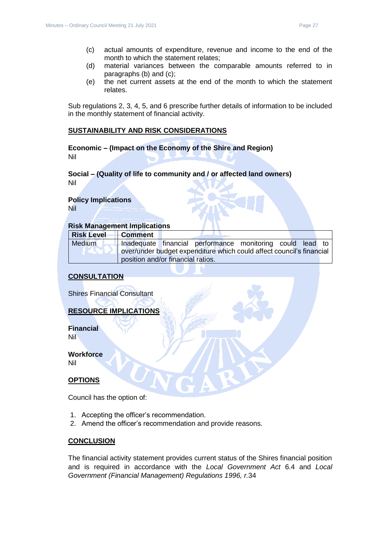- (c) actual amounts of expenditure, revenue and income to the end of the month to which the statement relates;
- (d) material variances between the comparable amounts referred to in paragraphs (b) and (c);
- (e) the net current assets at the end of the month to which the statement relates.

Sub regulations 2, 3, 4, 5, and 6 prescribe further details of information to be included in the monthly statement of financial activity.

#### **SUSTAINABILITY AND RISK CONSIDERATIONS**

**Economic – (Impact on the Economy of the Shire and Region)** Nil

#### **Social – (Quality of life to community and / or affected land owners)** Nil

### **Policy Implications**

Nil

#### **Risk Management Implications**

| <b>Risk Level</b> | <b>Comment</b>                                                       |  |                                                           |  |  |  |
|-------------------|----------------------------------------------------------------------|--|-----------------------------------------------------------|--|--|--|
| Medium            |                                                                      |  | Inadequate financial performance monitoring could lead to |  |  |  |
|                   | over/under budget expenditure which could affect council's financial |  |                                                           |  |  |  |
|                   | position and/or financial ratios.                                    |  |                                                           |  |  |  |

#### **CONSULTATION**

Shires Financial Consultant

#### **RESOURCE IMPLICATIONS**

**Financial** Nil

**Workforce**

Nil

#### **OPTIONS**

Council has the option of:

- 1. Accepting the officer's recommendation.
- 2. Amend the officer's recommendation and provide reasons.

#### **CONCLUSION**

The financial activity statement provides current status of the Shires financial position and is required in accordance with the *Local Government Act* 6.4 and *Local Government (Financial Management) Regulations 1996, r.*34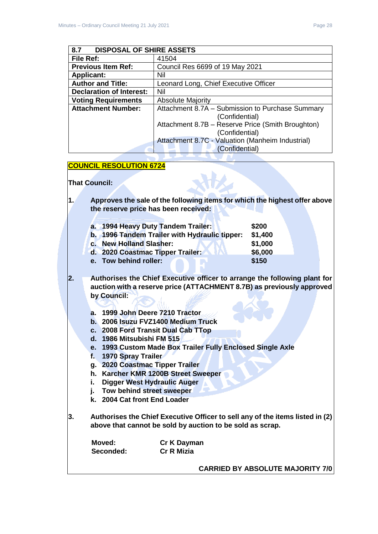<span id="page-27-0"></span>

| <b>DISPOSAL OF SHIRE ASSETS</b><br>8.7 |                                                                     |  |
|----------------------------------------|---------------------------------------------------------------------|--|
| File Ref:                              | 41504                                                               |  |
| <b>Previous Item Ref:</b>              | Council Res 6699 of 19 May 2021                                     |  |
| <b>Applicant:</b>                      | Nil                                                                 |  |
| <b>Author and Title:</b>               | Leonard Long, Chief Executive Officer                               |  |
| <b>Declaration of Interest:</b>        | Nil                                                                 |  |
| <b>Voting Requirements</b>             | <b>Absolute Majority</b>                                            |  |
| <b>Attachment Number:</b>              | Attachment 8.7A - Submission to Purchase Summary<br>(Confidential)  |  |
|                                        | Attachment 8.7B - Reserve Price (Smith Broughton)<br>(Confidential) |  |
|                                        | Attachment 8.7C - Valuation (Manheim Industrial)<br>(Confidential)  |  |

#### **COUNCIL RESOLUTION 6724**

**That Council:** 

**1. Approves the sale of the following items for which the highest offer above the reserve price has been received:**

| a. 1994 Heavy Duty Tandem Trailer:            | \$200   |
|-----------------------------------------------|---------|
| b. 1996 Tandem Trailer with Hydraulic tipper: | \$1,400 |
| c. New Holland Slasher:                       | \$1,000 |
| d. 2020 Coastmac Tipper Trailer:              | \$6,000 |
| e. Tow behind roller:                         | \$150   |
|                                               |         |

- **2. Authorises the Chief Executive officer to arrange the following plant for auction with a reserve price (ATTACHMENT 8.7B) as previously approved by Council:**
	- **a. 1999 John Deere 7210 Tractor**
	- **b. 2006 Isuzu FVZ1400 Medium Truck**
	- **c. 2008 Ford Transit Dual Cab TTop**
	- **d. 1986 Mitsubishi FM 515**
	- **e. 1993 Custom Made Box Trailer Fully Enclosed Single Axle**
	- **f. 1970 Spray Trailer**
	- **g. 2020 Coastmac Tipper Trailer**
	- **h. Karcher KMR 1200B Street Sweeper**
	- **i. Digger West Hydraulic Auger**
	- **j. Tow behind street sweeper**
	- **k. 2004 Cat front End Loader**
- **3. Authorises the Chief Executive Officer to sell any of the items listed in (2) above that cannot be sold by auction to be sold as scrap.**

| Moved:    | Cr K Dayman       |
|-----------|-------------------|
| Seconded: | <b>Cr R Mizia</b> |

**CARRIED BY ABSOLUTE MAJORITY 7/0**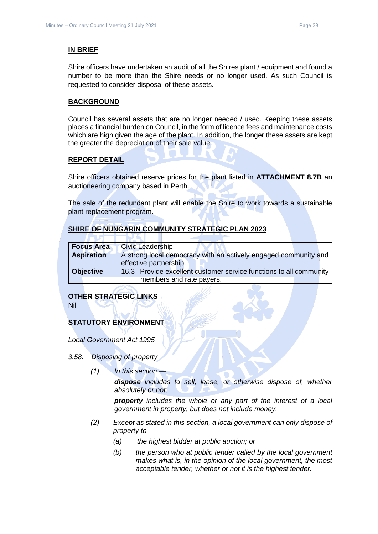#### **IN BRIEF**

Shire officers have undertaken an audit of all the Shires plant / equipment and found a number to be more than the Shire needs or no longer used. As such Council is requested to consider disposal of these assets.

#### **BACKGROUND**

Council has several assets that are no longer needed / used. Keeping these assets places a financial burden on Council, in the form of licence fees and maintenance costs which are high given the age of the plant. In addition, the longer these assets are kept the greater the depreciation of their sale value.

#### **REPORT DETAIL**

Shire officers obtained reserve prices for the plant listed in **ATTACHMENT 8.7B** an auctioneering company based in Perth.

The sale of the redundant plant will enable the Shire to work towards a sustainable plant replacement program.

#### **SHIRE OF NUNGARIN COMMUNITY STRATEGIC PLAN 2023**

| <b>Focus Area</b>                                                                      | <b>Civic Leadership</b>                                                                   |  |  |
|----------------------------------------------------------------------------------------|-------------------------------------------------------------------------------------------|--|--|
| <b>Aspiration</b>                                                                      | A strong local democracy with an actively engaged community and<br>effective partnership. |  |  |
| 16.3 Provide excellent customer service functions to all community<br><b>Objective</b> |                                                                                           |  |  |
|                                                                                        | members and rate payers.                                                                  |  |  |

#### **OTHER STRATEGIC LINKS**

Nil

#### **STATUTORY ENVIRONMENT**

*Local Government Act 1995*

- *3.58. Disposing of property*
	- *(1) In this section —*

*dispose includes to sell, lease, or otherwise dispose of, whether absolutely or not;*

*property includes the whole or any part of the interest of a local government in property, but does not include money.*

- *(2) Except as stated in this section, a local government can only dispose of property to —*
	- *(a) the highest bidder at public auction; or*
	- *(b) the person who at public tender called by the local government makes what is, in the opinion of the local government, the most acceptable tender, whether or not it is the highest tender.*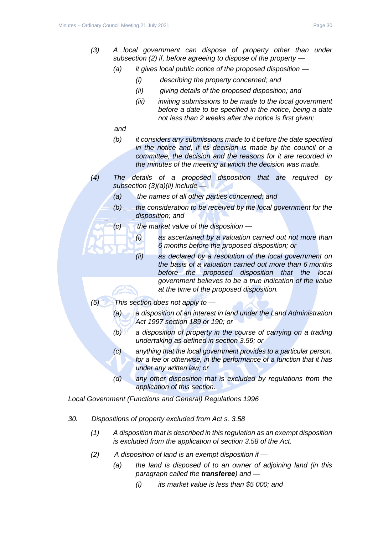- *(3) A local government can dispose of property other than under subsection (2) if, before agreeing to dispose of the property —*
	- *(a) it gives local public notice of the proposed disposition —*
		- *(i) describing the property concerned; and*
		- *(ii) giving details of the proposed disposition; and*
		- *(iii) inviting submissions to be made to the local government before a date to be specified in the notice, being a date not less than 2 weeks after the notice is first given;*
	- *and*
	- *(b) it considers any submissions made to it before the date specified in the notice and, if its decision is made by the council or a committee, the decision and the reasons for it are recorded in the minutes of the meeting at which the decision was made.*
- *(4) The details of a proposed disposition that are required by subsection (3)(a)(ii) include —*
	- *(a) the names of all other parties concerned; and*
	- *(b) the consideration to be received by the local government for the disposition; and*
	- *(c) the market value of the disposition —*
		- *(i) as ascertained by a valuation carried out not more than 6 months before the proposed disposition; or*
		- *(ii) as declared by a resolution of the local government on the basis of a valuation carried out more than 6 months before the proposed disposition that the local government believes to be a true indication of the value at the time of the proposed disposition.*
- *(5) This section does not apply to —*
	- *(a) a disposition of an interest in land under the Land Administration Act 1997 section 189 or 190; or*
	- *(b) a disposition of property in the course of carrying on a trading undertaking as defined in section 3.59; or*
	- *(c) anything that the local government provides to a particular person, for a fee or otherwise, in the performance of a function that it has under any written law; or*
	- *(d) any other disposition that is excluded by regulations from the application of this section.*

*Local Government (Functions and General) Regulations 1996*

- *30. Dispositions of property excluded from Act s. 3.58*
	- *(1) A disposition that is described in this regulation as an exempt disposition is excluded from the application of section 3.58 of the Act.*
	- *(2) A disposition of land is an exempt disposition if —*
		- *(a) the land is disposed of to an owner of adjoining land (in this paragraph called the transferee) and —*
			- *(i) its market value is less than \$5 000; and*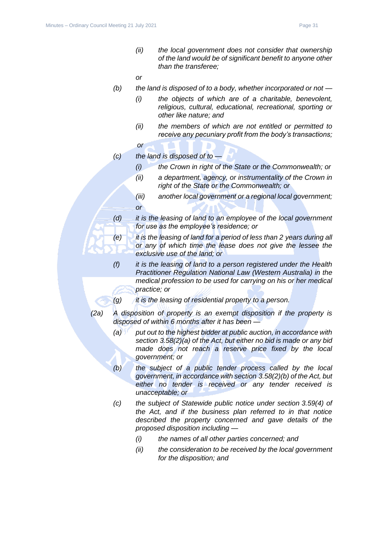*(ii) the local government does not consider that ownership of the land would be of significant benefit to anyone other than the transferee;*

*or*

- *(b) the land is disposed of to a body, whether incorporated or not —*
	- *(i) the objects of which are of a charitable, benevolent, religious, cultural, educational, recreational, sporting or other like nature; and*
	- *(ii) the members of which are not entitled or permitted to receive any pecuniary profit from the body's transactions;*
	- *or*
- *(c) the land is disposed of to —*
	- *(i) the Crown in right of the State or the Commonwealth; or*
	- *(ii) a department, agency, or instrumentality of the Crown in right of the State or the Commonwealth; or*
	- *(iii) another local government or a regional local government; or*
- *(d) it is the leasing of land to an employee of the local government for use as the employee's residence; or*
- *(e) it is the leasing of land for a period of less than 2 years during all or any of which time the lease does not give the lessee the exclusive use of the land; or*
- *(f) it is the leasing of land to a person registered under the Health Practitioner Regulation National Law (Western Australia) in the medical profession to be used for carrying on his or her medical practice; or*
- *(g) it is the leasing of residential property to a person.*
- *(2a) A disposition of property is an exempt disposition if the property is disposed of within 6 months after it has been —*
	- *(a) put out to the highest bidder at public auction, in accordance with section 3.58(2)(a) of the Act, but either no bid is made or any bid made does not reach a reserve price fixed by the local government; or*
	- *(b) the subject of a public tender process called by the local government, in accordance with section 3.58(2)(b) of the Act, but either no tender is received or any tender received is unacceptable; or*
	- *(c) the subject of Statewide public notice under section 3.59(4) of the Act, and if the business plan referred to in that notice described the property concerned and gave details of the proposed disposition including —*
		- *(i) the names of all other parties concerned; and*
		- *(ii) the consideration to be received by the local government for the disposition; and*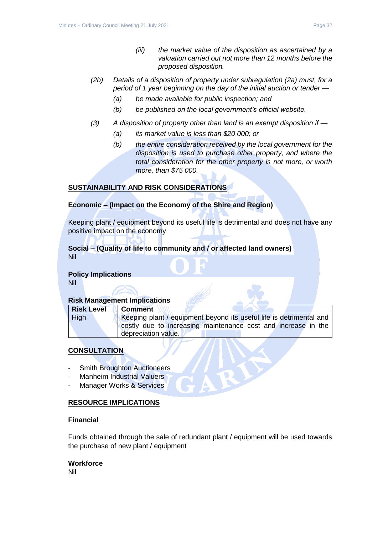- *(2b) Details of a disposition of property under subregulation (2a) must, for a period of 1 year beginning on the day of the initial auction or tender —*
	- *(a) be made available for public inspection; and*
	- *(b) be published on the local government's official website.*
- *(3) A disposition of property other than land is an exempt disposition if —*
	- *(a) its market value is less than \$20 000; or*
	- *(b) the entire consideration received by the local government for the disposition is used to purchase other property, and where the total consideration for the other property is not more, or worth more, than \$75 000.*

#### **SUSTAINABILITY AND RISK CONSIDERATIONS**

#### **Economic – (Impact on the Economy of the Shire and Region)**

Keeping plant / equipment beyond its useful life is detrimental and does not have any positive impact on the economy

#### **Social – (Quality of life to community and / or affected land owners)** Nil

#### **Policy Implications**

Nil

#### **Risk Management Implications**

| <b>Risk Level</b> | <b>Comment</b>                                                      |
|-------------------|---------------------------------------------------------------------|
| <b>High</b>       | Keeping plant / equipment beyond its useful life is detrimental and |
|                   | costly due to increasing maintenance cost and increase in the       |
|                   | depreciation value.                                                 |

#### **CONSULTATION**

- **Smith Broughton Auctioneers**
- Manheim Industrial Valuers
- Manager Works & Services

#### **RESOURCE IMPLICATIONS**

#### **Financial**

Funds obtained through the sale of redundant plant / equipment will be used towards the purchase of new plant / equipment

#### **Workforce**

Nil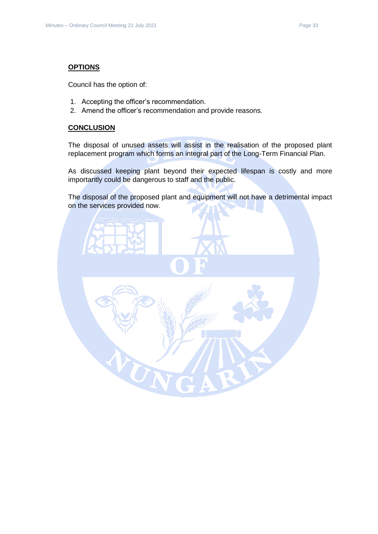#### **OPTIONS**

Council has the option of:

- 1. Accepting the officer's recommendation.
- 2. Amend the officer's recommendation and provide reasons.

#### **CONCLUSION**

The disposal of unused assets will assist in the realisation of the proposed plant replacement program which forms an integral part of the Long-Term Financial Plan.

As discussed keeping plant beyond their expected lifespan is costly and more importantly could be dangerous to staff and the public.

The disposal of the proposed plant and equipment will not have a detrimental impact on the services provided now.

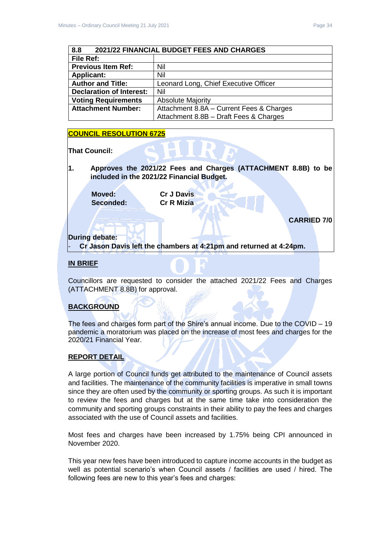<span id="page-33-0"></span>

| 8.8<br>2021/22 FINANCIAL BUDGET FEES AND CHARGES |                                          |  |
|--------------------------------------------------|------------------------------------------|--|
| File Ref:                                        |                                          |  |
| <b>Previous Item Ref:</b>                        | Nil                                      |  |
| Nil<br><b>Applicant:</b>                         |                                          |  |
| <b>Author and Title:</b>                         | Leonard Long, Chief Executive Officer    |  |
| <b>Declaration of Interest:</b>                  | Nil                                      |  |
| <b>Voting Requirements</b>                       | <b>Absolute Majority</b>                 |  |
| <b>Attachment Number:</b>                        | Attachment 8.8A - Current Fees & Charges |  |
|                                                  | Attachment 8.8B - Draft Fees & Charges   |  |

#### **COUNCIL RESOLUTION 6725**

**That Council:** 

**1. Approves the 2021/22 Fees and Charges (ATTACHMENT 8.8B) to be included in the 2021/22 Financial Budget.**

**Moved: Cr J Davis Seconded: Cr R Mizia**

**CARRIED 7/0**

#### **During debate:**

- **Cr Jason Davis left the chambers at 4:21pm and returned at 4:24pm.**

#### **IN BRIEF**

Councillors are requested to consider the attached 2021/22 Fees and Charges (ATTACHMENT 8.8B) for approval.

#### **BACKGROUND**

The fees and charges form part of the Shire's annual income. Due to the COVID – 19 pandemic a moratorium was placed on the increase of most fees and charges for the 2020/21 Financial Year.

#### **REPORT DETAIL**

A large portion of Council funds get attributed to the maintenance of Council assets and facilities. The maintenance of the community facilities is imperative in small towns since they are often used by the community or sporting groups. As such it is important to review the fees and charges but at the same time take into consideration the community and sporting groups constraints in their ability to pay the fees and charges associated with the use of Council assets and facilities.

Most fees and charges have been increased by 1.75% being CPI announced in November 2020.

This year new fees have been introduced to capture income accounts in the budget as well as potential scenario's when Council assets / facilities are used / hired. The following fees are new to this year's fees and charges: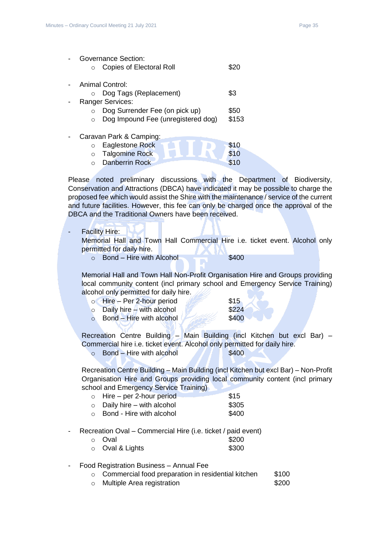| <b>Governance Section:</b>         |       |
|------------------------------------|-------|
| <b>Copies of Electoral Roll</b>    |       |
| Animal Control:                    |       |
| Dog Tags (Replacement)<br>∩        | \$3   |
| <b>Ranger Services:</b>            |       |
| Dog Surrender Fee (on pick up)     | \$50  |
| Dog Impound Fee (unregistered dog) | \$153 |
| Caravan Park & Camping:            |       |
| <b>Eaglestone Rock</b><br>$\circ$  | \$10  |
| <b>Talgomine Rock</b><br>$\circ$   | \$10  |
| <b>Danberrin Rock</b>              |       |

Please noted preliminary discussions with the Department of Biodiversity, Conservation and Attractions (DBCA) have indicated it may be possible to charge the proposed fee which would assist the Shire with the maintenance / service of the current and future facilities. However, this fee can only be charged once the approval of the DBCA and the Traditional Owners have been received.

- Facility Hire:

Memorial Hall and Town Hall Commercial Hire i.e. ticket event. Alcohol only permitted for daily hire.

 $\circ$  Bond – Hire with Alcohol  $\bullet$  \$400

Memorial Hall and Town Hall Non-Profit Organisation Hire and Groups providing local community content (incl primary school and Emergency Service Training) alcohol only permitted for daily hire.

| $\circ$ Hire – Per 2-hour period      | \$15  |
|---------------------------------------|-------|
| Daily hire $\frac{1}{2}$ with alcohol | \$224 |

 $\circ$  Bond – Hire with alcohol  $\sim$  \$400

Recreation Centre Building – Main Building (incl Kitchen but excl Bar) – Commercial hire i.e. ticket event. Alcohol only permitted for daily hire.

 $\circ$  Bond – Hire with alcohol  $\sqrt{11}$  \$400

Recreation Centre Building – Main Building (incl Kitchen but excl Bar) – Non-Profit Organisation Hire and Groups providing local community content (incl primary

| school and Emergency Service Training) |       |
|----------------------------------------|-------|
| $\circ$ Hire – per 2-hour period       | \$15  |
| Daily hire – with alcohol              | \$305 |

| $\sim$  | <b>Parry 1997</b> | www.archi                | ັ⊽ດລ  |
|---------|-------------------|--------------------------|-------|
| $\circ$ |                   | Bond - Hire with alcohol | \$400 |

- 
- Recreation Oval Commercial Hire (i.e. ticket / paid event)

| ○ Oval                                | \$200 |
|---------------------------------------|-------|
| $O_{\text{total}}$ $O_{\text{total}}$ | いへへ   |

 $\circ$  Oval & Lights  $$300$ 

#### - Food Registration Business – Annual Fee

- $\circ$  Commercial food preparation in residential kitchen  $$100$
- o Multiple Area registration **\$200**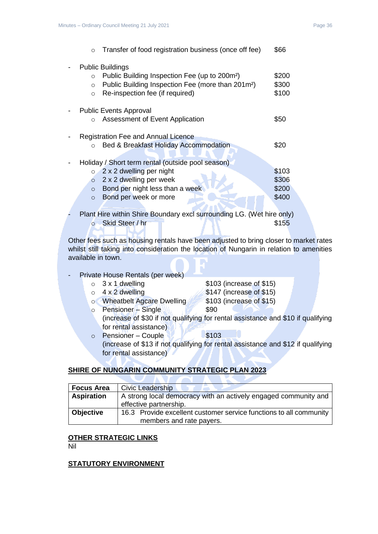| $\Omega$                                     | Transfer of food registration business (once off fee)                                                                                                                                    | \$66                             |
|----------------------------------------------|------------------------------------------------------------------------------------------------------------------------------------------------------------------------------------------|----------------------------------|
| $\circ$<br>$\circ$<br>$\circ$                | <b>Public Buildings</b><br>Public Building Inspection Fee (up to 200m <sup>2</sup> )<br>Public Building Inspection Fee (more than 201m <sup>2</sup> )<br>Re-inspection fee (if required) | \$200<br>\$300<br>\$100          |
| $\Omega$                                     | <b>Public Events Approval</b><br>Assessment of Event Application                                                                                                                         | \$50                             |
| $\Omega$                                     | Registration Fee and Annual Licence<br>Bed & Breakfast Holiday Accommodation                                                                                                             | \$20                             |
| $\Omega$<br>$\Omega$<br>$\Omega$<br>$\Omega$ | Holiday / Short term rental (outside pool season)<br>2 x 2 dwelling per night<br>2 x 2 dwelling per week<br>Bond per night less than a week<br>Bond per week or more                     | \$103<br>\$306<br>\$200<br>\$400 |

Plant Hire within Shire Boundary excl surrounding LG. (Wet hire only) o Skid Steer / hr \$155

Other fees such as housing rentals have been adjusted to bring closer to market rates whilst still taking into consideration the location of Nungarin in relation to amenities available in town.

#### Private House Rentals (per week)

o Wheatbelt Agcare Dwelling \$103 (increase of \$15)

 $\circ$  3 x 1 dwelling  $\bullet$  \$103 (increase of \$15)  $\circ$  4 x 2 dwelling  $\bullet$  \$147 (increase of \$15) o Pensioner – Single **\$90** 

- (increase of \$30 if not qualifying for rental assistance and \$10 if qualifying for rental assistance)
- o Pensioner Couple & \$103 (increase of \$13 if not qualifying for rental assistance and \$12 if qualifying for rental assistance)

#### **SHIRE OF NUNGARIN COMMUNITY STRATEGIC PLAN 2023**

78

| <b>Focus Area</b> | Civic Leadership                                                   |  |
|-------------------|--------------------------------------------------------------------|--|
| <b>Aspiration</b> | A strong local democracy with an actively engaged community and    |  |
|                   | effective partnership.                                             |  |
| <b>Objective</b>  | 16.3 Provide excellent customer service functions to all community |  |
|                   | members and rate payers.                                           |  |

#### **OTHER STRATEGIC LINKS**

Nil

#### **STATUTORY ENVIRONMENT**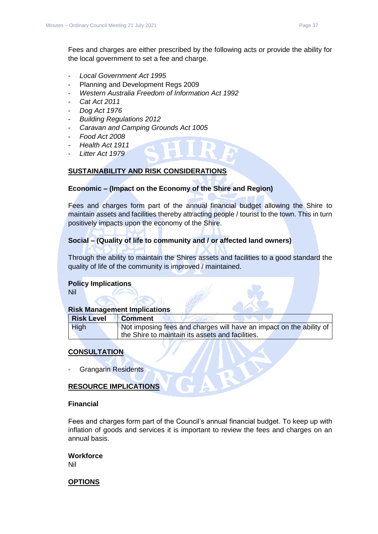Fees and charges are either prescribed by the following acts or provide the ability for the local government to set a fee and charge.

- *Local Government Act 1995*
- Planning and Development Regs 2009
- *Western Australia Freedom of Information Act 1992*
- *Cat Act 2011*
- *Dog Act 1976*
- *Building Regulations 2012*
- *Caravan and Camping Grounds Act 1005*
- *Food Act 2008*
- *Health Act 1911*
- *Litter Act 1979*

#### **SUSTAINABILITY AND RISK CONSIDERATIONS**

#### **Economic – (Impact on the Economy of the Shire and Region)**

Fees and charges form part of the annual financial budget allowing the Shire to maintain assets and facilities thereby attracting people / tourist to the town. This in turn positively impacts upon the economy of the Shire.

#### **Social – (Quality of life to community and / or affected land owners)**

Through the ability to maintain the Shires assets and facilities to a good standard the quality of life of the community is improved / maintained.

#### **Policy Implications**

Nil

#### **Risk Management Implications**

| <b>Risk Level</b> | <b>Comment</b>                                                      |
|-------------------|---------------------------------------------------------------------|
| <b>High</b>       | Not imposing fees and charges will have an impact on the ability of |
|                   | the Shire to maintain its assets and facilities.                    |

#### **CONSULTATION**

Grangarin Residents

#### **RESOURCE IMPLICATIONS**

#### **Financial**

Fees and charges form part of the Council's annual financial budget. To keep up with inflation of goods and services it is important to review the fees and charges on an annual basis.

**Workforce** Nil

#### **OPTIONS**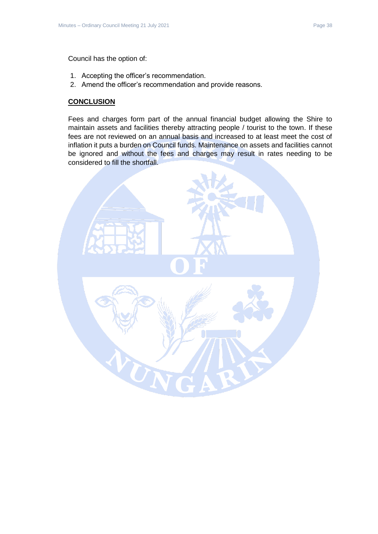Council has the option of:

- 1. Accepting the officer's recommendation.
- 2. Amend the officer's recommendation and provide reasons.

#### **CONCLUSION**

Fees and charges form part of the annual financial budget allowing the Shire to maintain assets and facilities thereby attracting people / tourist to the town. If these fees are not reviewed on an annual basis and increased to at least meet the cost of inflation it puts a burden on Council funds. Maintenance on assets and facilities cannot be ignored and without the fees and charges may result in rates needing to be considered to fill the shortfall.

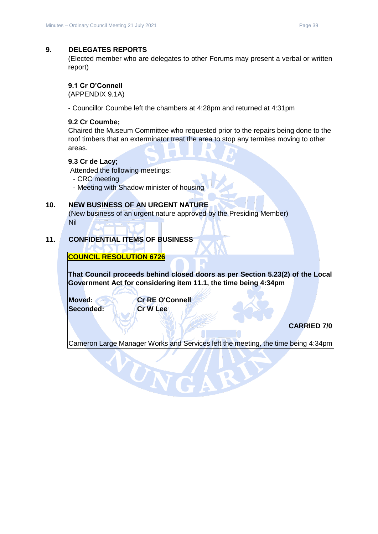#### <span id="page-38-0"></span>**9. DELEGATES REPORTS**

(Elected member who are delegates to other Forums may present a verbal or written report)

#### <span id="page-38-1"></span>**9.1 Cr O'Connell**

(APPENDIX 9.1A)

- Councillor Coumbe left the chambers at 4:28pm and returned at 4:31pm

#### <span id="page-38-2"></span>**9.2 Cr Coumbe;**

Chaired the Museum Committee who requested prior to the repairs being done to the roof timbers that an exterminator treat the area to stop any termites moving to other areas.

#### <span id="page-38-3"></span>**9.3 Cr de Lacy;**

Attended the following meetings:

- CRC meeting
- Meeting with Shadow minister of housing

#### <span id="page-38-4"></span>**10. NEW BUSINESS OF AN URGENT NATURE**

(New business of an urgent nature approved by the Presiding Member) Nil

#### <span id="page-38-5"></span>**11. CONFIDENTIAL ITEMS OF BUSINESS**

**COUNCIL RESOLUTION 6726**

**That Council proceeds behind closed doors as per Section 5.23(2) of the Local Government Act for considering item 11.1, the time being 4:34pm** 

**Seconded: Cr W Lee**

**Moved: Cr RE O'Connell**

UN

#### **CARRIED 7/0**

Cameron Large Manager Works and Services left the meeting, the time being 4:34pm